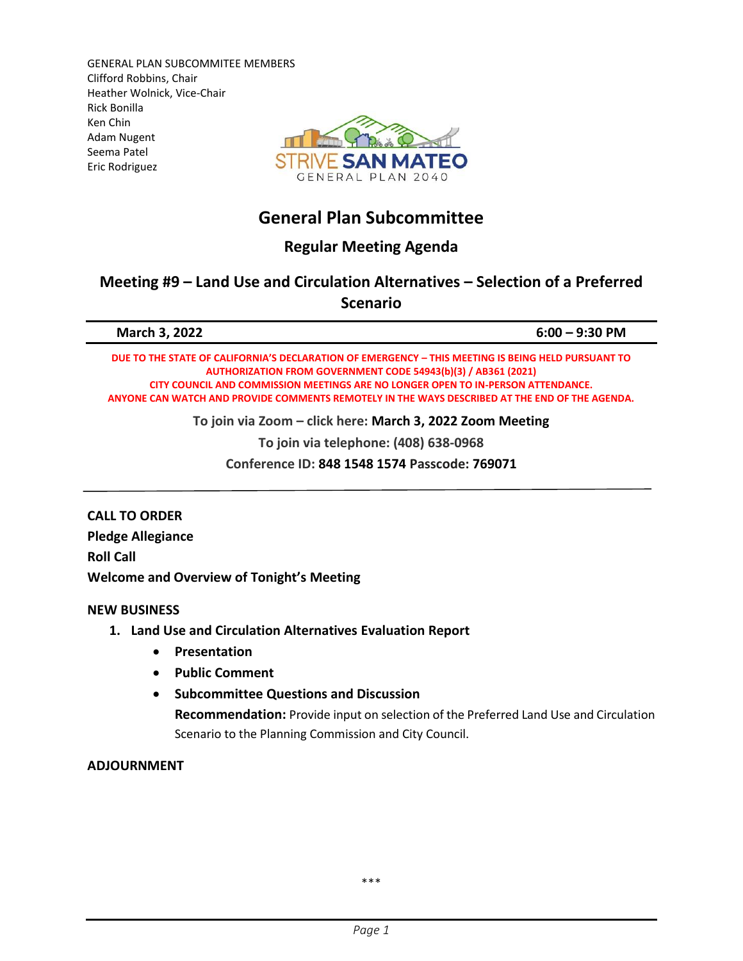GENERAL PLAN SUBCOMMITEE MEMBERS Clifford Robbins, Chair Heather Wolnick, Vice-Chair Rick Bonilla Ken Chin Adam Nugent Seema Patel Eric Rodriguez



# **General Plan Subcommittee**

**Regular Meeting Agenda**

## **Meeting #9 – Land Use and Circulation Alternatives – Selection of a Preferred Scenario**

| <b>March 3, 2022</b>                                                                                                                                                               | $6:00 - 9:30$ PM |
|------------------------------------------------------------------------------------------------------------------------------------------------------------------------------------|------------------|
| DUE TO THE STATE OF CALIFORNIA'S DECLARATION OF EMERGENCY - THIS MEETING IS BEING HELD PURSUANT TO<br><b>AUTHORIZATION FROM GOVERNMENT CODE 54943(b)(3) / AB361 (2021)</b>         |                  |
| CITY COUNCIL AND COMMISSION MEETINGS ARE NO LONGER OPEN TO IN-PERSON ATTENDANCE.<br>ANYONE CAN WATCH AND PROVIDE COMMENTS REMOTELY IN THE WAYS DESCRIBED AT THE END OF THE AGENDA. |                  |
| To join via Zoom - click here: March 3, 2022 Zoom Meeting                                                                                                                          |                  |

**To join via telephone: (408) 638‐0968**

**Conference ID: 848 1548 1574 Passcode: 769071**

**CALL TO ORDER Pledge Allegiance Roll Call Welcome and Overview of Tonight's Meeting**

### **NEW BUSINESS**

### **1. Land Use and Circulation Alternatives Evaluation Report**

- **Presentation**
- **Public Comment**
- **Subcommittee Questions and Discussion**

**Recommendation:** Provide input on selection of the Preferred Land Use and Circulation Scenario to the Planning Commission and City Council.

### **ADJOURNMENT**